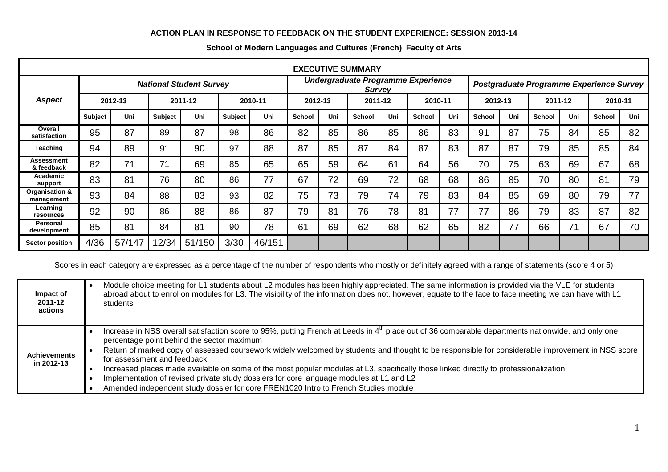## **ACTION PLAN IN RESPONSE TO FEEDBACK ON THE STUDENT EXPERIENCE: SESSION 2013-14**

| <b>EXECUTIVE SUMMARY</b>        |                                |        |                |        |                |                                                     |               |     |               |     |                                          |     |               |     |               |     |         |     |
|---------------------------------|--------------------------------|--------|----------------|--------|----------------|-----------------------------------------------------|---------------|-----|---------------|-----|------------------------------------------|-----|---------------|-----|---------------|-----|---------|-----|
|                                 | <b>National Student Survey</b> |        |                |        |                | Undergraduate Programme Experience<br><b>Survey</b> |               |     |               |     | Postgraduate Programme Experience Survey |     |               |     |               |     |         |     |
| <b>Aspect</b>                   | 2012-13                        |        | 2011-12        |        | 2010-11        |                                                     | 2012-13       |     | 2011-12       |     | 2010-11                                  |     | 2012-13       |     | 2011-12       |     | 2010-11 |     |
|                                 | <b>Subject</b>                 | Uni    | <b>Subject</b> | Uni    | <b>Subject</b> | Uni                                                 | <b>School</b> | Uni | <b>School</b> | Uni | <b>School</b>                            | Uni | <b>School</b> | Uni | <b>School</b> | Uni | School  | Uni |
| Overall<br>satisfaction         | 95                             | 87     | 89             | 87     | 98             | 86                                                  | 82            | 85  | 86            | 85  | 86                                       | 83  | 91            | 87  | 75            | 84  | 85      | 82  |
| Teaching                        | 94                             | 89     | 91             | 90     | 97             | 88                                                  | 87            | 85  | 87            | 84  | 87                                       | 83  | 87            | 87  | 79            | 85  | 85      | 84  |
| <b>Assessment</b><br>& feedback | 82                             | 71     | 71             | 69     | 85             | 65                                                  | 65            | 59  | 64            | 61  | 64                                       | 56  | 70            | 75  | 63            | 69  | 67      | 68  |
| Academic<br>support             | 83                             | 81     | 76             | 80     | 86             | 77                                                  | 67            | 72  | 69            | 72  | 68                                       | 68  | 86            | 85  | 70            | 80  | 81      | 79  |
| Organisation &<br>management    | 93                             | 84     | 88             | 83     | 93             | 82                                                  | 75            | 73  | 79            | 74  | 79                                       | 83  | 84            | 85  | 69            | 80  | 79      | 77  |
| Learning<br>resources           | 92                             | 90     | 86             | 88     | 86             | 87                                                  | 79            | 81  | 76            | 78  | 81                                       | 77  | 77            | 86  | 79            | 83  | 87      | 82  |
| <b>Personal</b><br>development  | 85                             | 81     | 84             | 81     | 90             | 78                                                  | 61            | 69  | 62            | 68  | 62                                       | 65  | 82            | 77  | 66            | 71  | 67      | 70  |
| <b>Sector position</b>          | 4/36                           | 57/147 | 12/34          | 51/150 | 3/30           | 46/151                                              |               |     |               |     |                                          |     |               |     |               |     |         |     |

## **School of Modern Languages and Cultures (French) Faculty of Arts**

Scores in each category are expressed as a percentage of the number of respondents who mostly or definitely agreed with a range of statements (score 4 or 5)

| Impact of<br>2011-12<br>actions   | Module choice meeting for L1 students about L2 modules has been highly appreciated. The same information is provided via the VLE for students<br>abroad about to enrol on modules for L3. The visibility of the information does not, however, equate to the face to face meeting we can have with L1<br>students                                                                                                                                                                                                                                                                                                                                                                                                        |
|-----------------------------------|--------------------------------------------------------------------------------------------------------------------------------------------------------------------------------------------------------------------------------------------------------------------------------------------------------------------------------------------------------------------------------------------------------------------------------------------------------------------------------------------------------------------------------------------------------------------------------------------------------------------------------------------------------------------------------------------------------------------------|
| <b>Achievements</b><br>in 2012-13 | Increase in NSS overall satisfaction score to 95%, putting French at Leeds in 4 <sup>th</sup> place out of 36 comparable departments nationwide, and only one<br>percentage point behind the sector maximum<br>Return of marked copy of assessed coursework widely welcomed by students and thought to be responsible for considerable improvement in NSS score<br>for assessment and feedback<br>Increased places made available on some of the most popular modules at L3, specifically those linked directly to professionalization.<br>Implementation of revised private study dossiers for core language modules at L1 and L2<br>Amended independent study dossier for core FREN1020 Intro to French Studies module |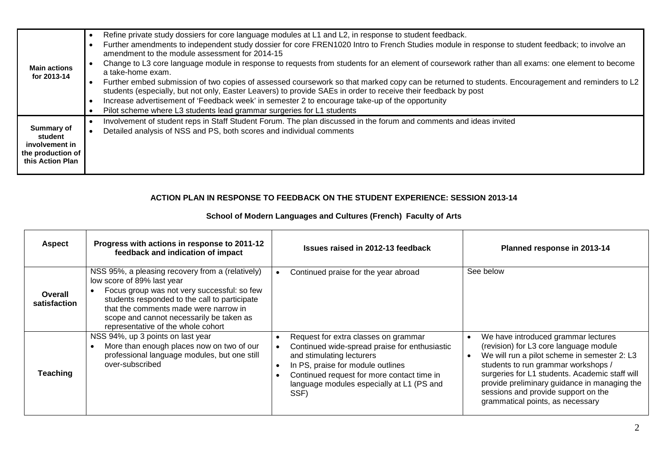| <b>Main actions</b><br>for 2013-14                                                      | Refine private study dossiers for core language modules at L1 and L2, in response to student feedback.<br>$\bullet$<br>Further amendments to independent study dossier for core FREN1020 Intro to French Studies module in response to student feedback; to involve an<br>amendment to the module assessment for 2014-15<br>Change to L3 core language module in response to requests from students for an element of coursework rather than all exams: one element to become<br>$\bullet$<br>a take-home exam.<br>Further embed submission of two copies of assessed coursework so that marked copy can be returned to students. Encouragement and reminders to L2<br>$\bullet$<br>students (especially, but not only, Easter Leavers) to provide SAEs in order to receive their feedback by post<br>Increase advertisement of 'Feedback week' in semester 2 to encourage take-up of the opportunity<br>$\bullet$<br>Pilot scheme where L3 students lead grammar surgeries for L1 students |
|-----------------------------------------------------------------------------------------|---------------------------------------------------------------------------------------------------------------------------------------------------------------------------------------------------------------------------------------------------------------------------------------------------------------------------------------------------------------------------------------------------------------------------------------------------------------------------------------------------------------------------------------------------------------------------------------------------------------------------------------------------------------------------------------------------------------------------------------------------------------------------------------------------------------------------------------------------------------------------------------------------------------------------------------------------------------------------------------------|
| <b>Summary of</b><br>student<br>involvement in<br>the production of<br>this Action Plan | Involvement of student reps in Staff Student Forum. The plan discussed in the forum and comments and ideas invited<br>$\bullet$<br>Detailed analysis of NSS and PS, both scores and individual comments<br>$\bullet$                                                                                                                                                                                                                                                                                                                                                                                                                                                                                                                                                                                                                                                                                                                                                                        |

## **ACTION PLAN IN RESPONSE TO FEEDBACK ON THE STUDENT EXPERIENCE: SESSION 2013-14**

## **School of Modern Languages and Cultures (French) Faculty of Arts**

| <b>Aspect</b>           | Progress with actions in response to 2011-12<br>feedback and indication of impact                                                                                                                                                                                                                         | <b>Issues raised in 2012-13 feedback</b><br>Planned response in 2013-14                                                                                                                                                                                                                                                                                                                                                                                                                                                                                                                                         |
|-------------------------|-----------------------------------------------------------------------------------------------------------------------------------------------------------------------------------------------------------------------------------------------------------------------------------------------------------|-----------------------------------------------------------------------------------------------------------------------------------------------------------------------------------------------------------------------------------------------------------------------------------------------------------------------------------------------------------------------------------------------------------------------------------------------------------------------------------------------------------------------------------------------------------------------------------------------------------------|
| Overall<br>satisfaction | NSS 95%, a pleasing recovery from a (relatively)<br>low score of 89% last year<br>Focus group was not very successful: so few<br>students responded to the call to participate<br>that the comments made were narrow in<br>scope and cannot necessarily be taken as<br>representative of the whole cohort | See below<br>Continued praise for the year abroad                                                                                                                                                                                                                                                                                                                                                                                                                                                                                                                                                               |
| <b>Teaching</b>         | NSS 94%, up 3 points on last year<br>More than enough places now on two of our<br>professional language modules, but one still<br>over-subscribed                                                                                                                                                         | Request for extra classes on grammar<br>We have introduced grammar lectures<br>(revision) for L3 core language module<br>Continued wide-spread praise for enthusiastic<br>We will run a pilot scheme in semester 2: L3<br>and stimulating lecturers<br>students to run grammar workshops /<br>In PS, praise for module outlines<br>surgeries for L1 students. Academic staff will<br>Continued request for more contact time in<br>provide preliminary guidance in managing the<br>language modules especially at L1 (PS and<br>sessions and provide support on the<br>SSF)<br>grammatical points, as necessary |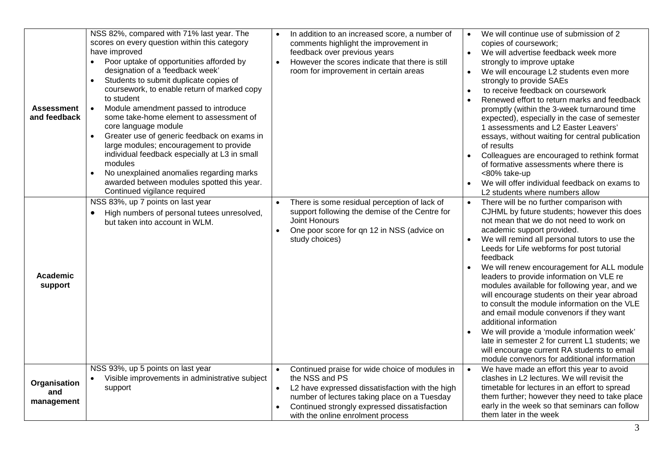| <b>Assessment</b><br>and feedback | NSS 82%, compared with 71% last year. The<br>scores on every question within this category<br>have improved<br>Poor uptake of opportunities afforded by<br>designation of a 'feedback week'<br>Students to submit duplicate copies of<br>coursework, to enable return of marked copy<br>to student<br>Module amendment passed to introduce<br>$\bullet$<br>some take-home element to assessment of<br>core language module<br>Greater use of generic feedback on exams in<br>$\bullet$<br>large modules; encouragement to provide<br>individual feedback especially at L3 in small<br>modules<br>No unexplained anomalies regarding marks<br>awarded between modules spotted this year.<br>Continued vigilance required | In addition to an increased score, a number of<br>comments highlight the improvement in<br>feedback over previous years<br>However the scores indicate that there is still<br>$\bullet$<br>room for improvement in certain areas                                                   | We will continue use of submission of 2<br>copies of coursework;<br>We will advertise feedback week more<br>$\bullet$<br>strongly to improve uptake<br>We will encourage L2 students even more<br>$\bullet$<br>strongly to provide SAEs<br>to receive feedback on coursework<br>Renewed effort to return marks and feedback<br>promptly (within the 3-week turnaround time<br>expected), especially in the case of semester<br>1 assessments and L2 Easter Leavers'<br>essays, without waiting for central publication<br>of results<br>Colleagues are encouraged to rethink format<br>of formative assessments where there is<br><80% take-up<br>We will offer individual feedback on exams to<br>L2 students where numbers allow                                                       |
|-----------------------------------|-------------------------------------------------------------------------------------------------------------------------------------------------------------------------------------------------------------------------------------------------------------------------------------------------------------------------------------------------------------------------------------------------------------------------------------------------------------------------------------------------------------------------------------------------------------------------------------------------------------------------------------------------------------------------------------------------------------------------|------------------------------------------------------------------------------------------------------------------------------------------------------------------------------------------------------------------------------------------------------------------------------------|------------------------------------------------------------------------------------------------------------------------------------------------------------------------------------------------------------------------------------------------------------------------------------------------------------------------------------------------------------------------------------------------------------------------------------------------------------------------------------------------------------------------------------------------------------------------------------------------------------------------------------------------------------------------------------------------------------------------------------------------------------------------------------------|
| Academic<br>support               | NSS 83%, up 7 points on last year<br>High numbers of personal tutees unresolved,<br>but taken into account in WLM.                                                                                                                                                                                                                                                                                                                                                                                                                                                                                                                                                                                                      | There is some residual perception of lack of<br>$\bullet$<br>support following the demise of the Centre for<br>Joint Honours<br>One poor score for qn 12 in NSS (advice on<br>$\bullet$<br>study choices)                                                                          | There will be no further comparison with<br>CJHML by future students; however this does<br>not mean that we do not need to work on<br>academic support provided.<br>We will remind all personal tutors to use the<br>Leeds for Life webforms for post tutorial<br>feedback<br>We will renew encouragement for ALL module<br>leaders to provide information on VLE re<br>modules available for following year, and we<br>will encourage students on their year abroad<br>to consult the module information on the VLE<br>and email module convenors if they want<br>additional information<br>We will provide a 'module information week'<br>late in semester 2 for current L1 students; we<br>will encourage current RA students to email<br>module convenors for additional information |
| Organisation<br>and<br>management | NSS 93%, up 5 points on last year<br>Visible improvements in administrative subject<br>support                                                                                                                                                                                                                                                                                                                                                                                                                                                                                                                                                                                                                          | Continued praise for wide choice of modules in<br>$\bullet$<br>the NSS and PS<br>L2 have expressed dissatisfaction with the high<br>$\bullet$<br>number of lectures taking place on a Tuesday<br>Continued strongly expressed dissatisfaction<br>with the online enrolment process | We have made an effort this year to avoid<br>clashes in L2 lectures. We will revisit the<br>timetable for lectures in an effort to spread<br>them further; however they need to take place<br>early in the week so that seminars can follow<br>them later in the week                                                                                                                                                                                                                                                                                                                                                                                                                                                                                                                    |